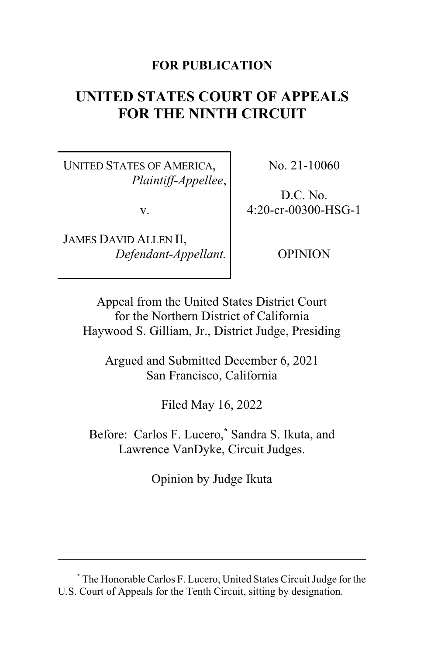# **FOR PUBLICATION**

# **UNITED STATES COURT OF APPEALS FOR THE NINTH CIRCUIT**

UNITED STATES OF AMERICA, *Plaintiff-Appellee*,

v.

JAMES DAVID ALLEN II, *Defendant-Appellant.* No. 21-10060

D.C. No. 4:20-cr-00300-HSG-1

OPINION

Appeal from the United States District Court for the Northern District of California Haywood S. Gilliam, Jr., District Judge, Presiding

Argued and Submitted December 6, 2021 San Francisco, California

Filed May 16, 2022

Before: Carlos F. Lucero,**\*** Sandra S. Ikuta, and Lawrence VanDyke, Circuit Judges.

Opinion by Judge Ikuta

**<sup>\*</sup>** The Honorable Carlos F. Lucero, United States Circuit Judge for the U.S. Court of Appeals for the Tenth Circuit, sitting by designation.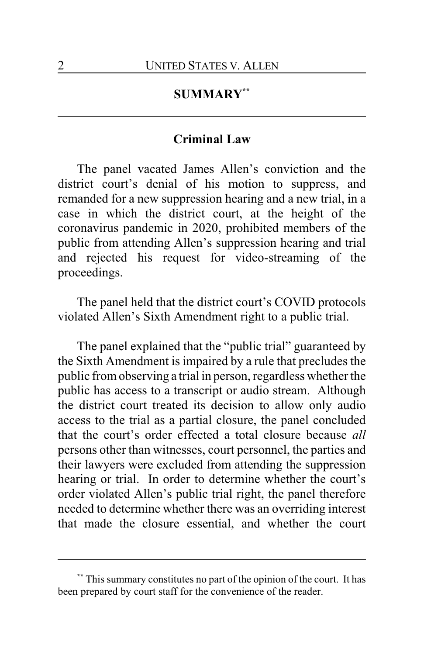# **SUMMARY\*\***

## **Criminal Law**

The panel vacated James Allen's conviction and the district court's denial of his motion to suppress, and remanded for a new suppression hearing and a new trial, in a case in which the district court, at the height of the coronavirus pandemic in 2020, prohibited members of the public from attending Allen's suppression hearing and trial and rejected his request for video-streaming of the proceedings.

The panel held that the district court's COVID protocols violated Allen's Sixth Amendment right to a public trial.

The panel explained that the "public trial" guaranteed by the Sixth Amendment is impaired by a rule that precludes the public fromobserving a trial in person, regardless whether the public has access to a transcript or audio stream. Although the district court treated its decision to allow only audio access to the trial as a partial closure, the panel concluded that the court's order effected a total closure because *all* persons other than witnesses, court personnel, the parties and their lawyers were excluded from attending the suppression hearing or trial. In order to determine whether the court's order violated Allen's public trial right, the panel therefore needed to determine whether there was an overriding interest that made the closure essential, and whether the court

**<sup>\*\*</sup>** This summary constitutes no part of the opinion of the court. It has been prepared by court staff for the convenience of the reader.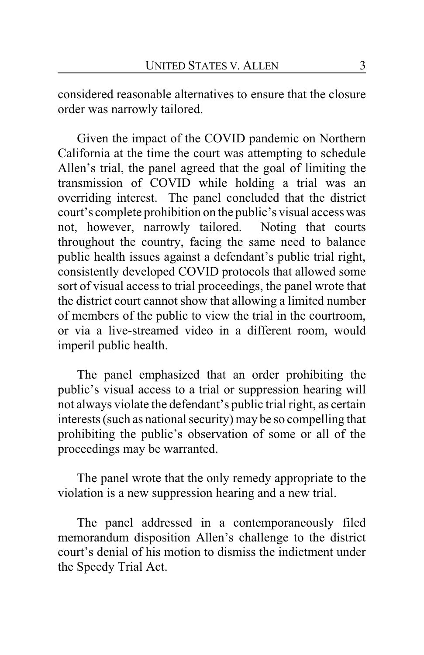considered reasonable alternatives to ensure that the closure order was narrowly tailored.

Given the impact of the COVID pandemic on Northern California at the time the court was attempting to schedule Allen's trial, the panel agreed that the goal of limiting the transmission of COVID while holding a trial was an overriding interest. The panel concluded that the district court's complete prohibition on the public's visual access was not, however, narrowly tailored. Noting that courts throughout the country, facing the same need to balance public health issues against a defendant's public trial right, consistently developed COVID protocols that allowed some sort of visual access to trial proceedings, the panel wrote that the district court cannot show that allowing a limited number of members of the public to view the trial in the courtroom, or via a live-streamed video in a different room, would imperil public health.

The panel emphasized that an order prohibiting the public's visual access to a trial or suppression hearing will not always violate the defendant's public trial right, as certain interests (such as national security) may be so compelling that prohibiting the public's observation of some or all of the proceedings may be warranted.

The panel wrote that the only remedy appropriate to the violation is a new suppression hearing and a new trial.

The panel addressed in a contemporaneously filed memorandum disposition Allen's challenge to the district court's denial of his motion to dismiss the indictment under the Speedy Trial Act.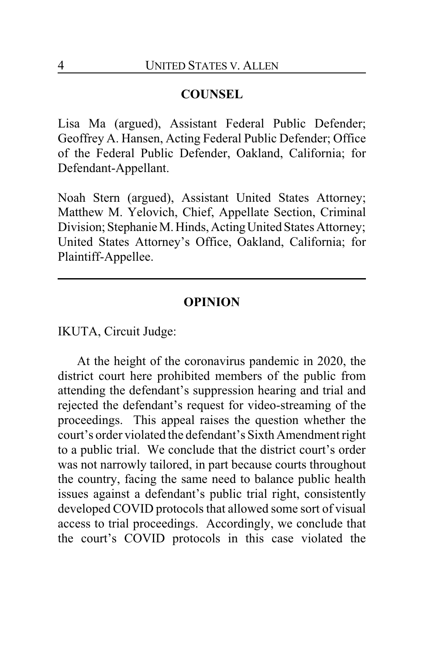## **COUNSEL**

Lisa Ma (argued), Assistant Federal Public Defender; Geoffrey A. Hansen, Acting Federal Public Defender; Office of the Federal Public Defender, Oakland, California; for Defendant-Appellant.

Noah Stern (argued), Assistant United States Attorney; Matthew M. Yelovich, Chief, Appellate Section, Criminal Division; Stephanie M. Hinds, Acting United States Attorney; United States Attorney's Office, Oakland, California; for Plaintiff-Appellee.

### **OPINION**

IKUTA, Circuit Judge:

At the height of the coronavirus pandemic in 2020, the district court here prohibited members of the public from attending the defendant's suppression hearing and trial and rejected the defendant's request for video-streaming of the proceedings. This appeal raises the question whether the court's order violated the defendant's Sixth Amendment right to a public trial. We conclude that the district court's order was not narrowly tailored, in part because courts throughout the country, facing the same need to balance public health issues against a defendant's public trial right, consistently developed COVID protocols that allowed some sort of visual access to trial proceedings. Accordingly, we conclude that the court's COVID protocols in this case violated the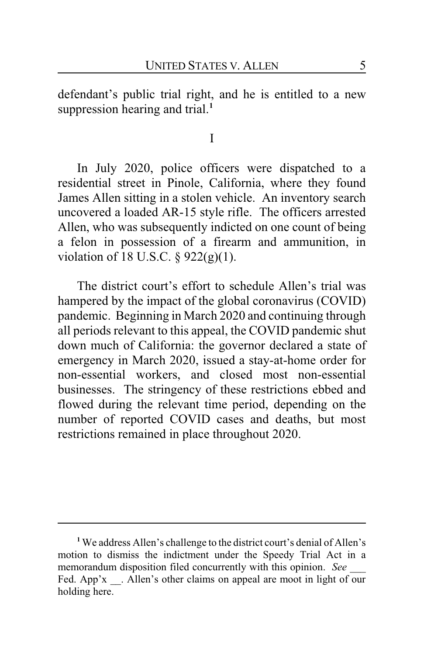defendant's public trial right, and he is entitled to a new suppression hearing and trial.**<sup>1</sup>**

I

In July 2020, police officers were dispatched to a residential street in Pinole, California, where they found James Allen sitting in a stolen vehicle. An inventory search uncovered a loaded AR-15 style rifle. The officers arrested Allen, who was subsequently indicted on one count of being a felon in possession of a firearm and ammunition, in violation of 18 U.S.C. § 922(g)(1).

The district court's effort to schedule Allen's trial was hampered by the impact of the global coronavirus (COVID) pandemic. Beginning in March 2020 and continuing through all periods relevant to this appeal, the COVID pandemic shut down much of California: the governor declared a state of emergency in March 2020, issued a stay-at-home order for non-essential workers, and closed most non-essential businesses. The stringency of these restrictions ebbed and flowed during the relevant time period, depending on the number of reported COVID cases and deaths, but most restrictions remained in place throughout 2020.

**<sup>1</sup>** We address Allen's challenge to the district court's denial of Allen's motion to dismiss the indictment under the Speedy Trial Act in a memorandum disposition filed concurrently with this opinion. See Fed. App'x . Allen's other claims on appeal are moot in light of our holding here.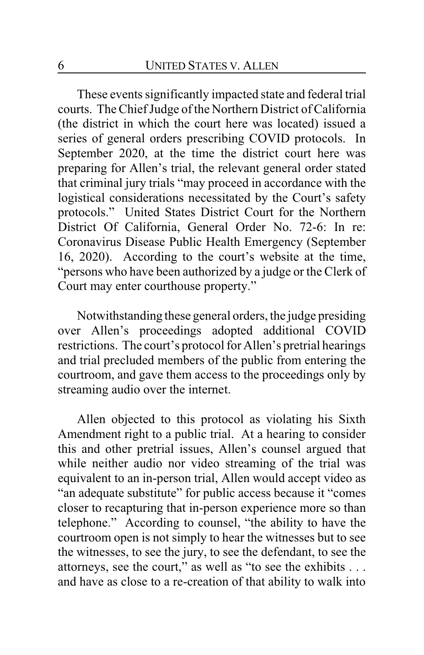These events significantly impacted state and federal trial courts. The Chief Judge of the Northern District of California (the district in which the court here was located) issued a series of general orders prescribing COVID protocols. In September 2020, at the time the district court here was preparing for Allen's trial, the relevant general order stated that criminal jury trials "may proceed in accordance with the logistical considerations necessitated by the Court's safety protocols." United States District Court for the Northern District Of California, General Order No. 72-6: In re: Coronavirus Disease Public Health Emergency (September 16, 2020). According to the court's website at the time, "persons who have been authorized by a judge or the Clerk of Court may enter courthouse property."

Notwithstanding these general orders, the judge presiding over Allen's proceedings adopted additional COVID restrictions. The court's protocol for Allen's pretrial hearings and trial precluded members of the public from entering the courtroom, and gave them access to the proceedings only by streaming audio over the internet.

Allen objected to this protocol as violating his Sixth Amendment right to a public trial. At a hearing to consider this and other pretrial issues, Allen's counsel argued that while neither audio nor video streaming of the trial was equivalent to an in-person trial, Allen would accept video as "an adequate substitute" for public access because it "comes closer to recapturing that in-person experience more so than telephone." According to counsel, "the ability to have the courtroom open is not simply to hear the witnesses but to see the witnesses, to see the jury, to see the defendant, to see the attorneys, see the court," as well as "to see the exhibits . . . and have as close to a re-creation of that ability to walk into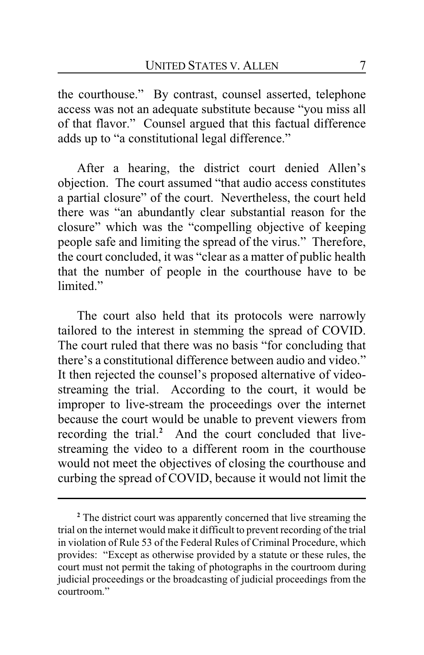the courthouse." By contrast, counsel asserted, telephone access was not an adequate substitute because "you miss all of that flavor." Counsel argued that this factual difference adds up to "a constitutional legal difference."

After a hearing, the district court denied Allen's objection. The court assumed "that audio access constitutes a partial closure" of the court. Nevertheless, the court held there was "an abundantly clear substantial reason for the closure" which was the "compelling objective of keeping people safe and limiting the spread of the virus." Therefore, the court concluded, it was "clear as a matter of public health that the number of people in the courthouse have to be limited."

The court also held that its protocols were narrowly tailored to the interest in stemming the spread of COVID. The court ruled that there was no basis "for concluding that there's a constitutional difference between audio and video." It then rejected the counsel's proposed alternative of videostreaming the trial. According to the court, it would be improper to live-stream the proceedings over the internet because the court would be unable to prevent viewers from recording the trial.**<sup>2</sup>** And the court concluded that livestreaming the video to a different room in the courthouse would not meet the objectives of closing the courthouse and curbing the spread of COVID, because it would not limit the

**<sup>2</sup>** The district court was apparently concerned that live streaming the trial on the internet would make it difficult to prevent recording of the trial in violation of Rule 53 of the Federal Rules of Criminal Procedure, which provides: "Except as otherwise provided by a statute or these rules, the court must not permit the taking of photographs in the courtroom during judicial proceedings or the broadcasting of judicial proceedings from the courtroom."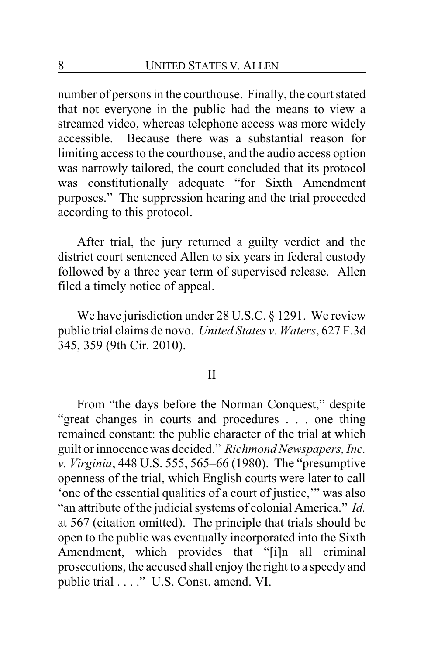number of persons in the courthouse. Finally, the court stated that not everyone in the public had the means to view a streamed video, whereas telephone access was more widely accessible. Because there was a substantial reason for limiting access to the courthouse, and the audio access option was narrowly tailored, the court concluded that its protocol was constitutionally adequate "for Sixth Amendment purposes." The suppression hearing and the trial proceeded according to this protocol.

After trial, the jury returned a guilty verdict and the district court sentenced Allen to six years in federal custody followed by a three year term of supervised release. Allen filed a timely notice of appeal.

We have jurisdiction under 28 U.S.C. § 1291. We review public trial claims de novo. *United States v. Waters*, 627 F.3d 345, 359 (9th Cir. 2010).

#### II

From "the days before the Norman Conquest," despite "great changes in courts and procedures . . . one thing remained constant: the public character of the trial at which guilt or innocence was decided." *Richmond Newspapers, Inc. v. Virginia*, 448 U.S. 555, 565–66 (1980). The "presumptive openness of the trial, which English courts were later to call 'one of the essential qualities of a court of justice,'" was also "an attribute of the judicial systems of colonial America." *Id.* at 567 (citation omitted). The principle that trials should be open to the public was eventually incorporated into the Sixth Amendment, which provides that "[i]n all criminal prosecutions, the accused shall enjoy the right to a speedy and public trial . . . ." U.S. Const. amend. VI.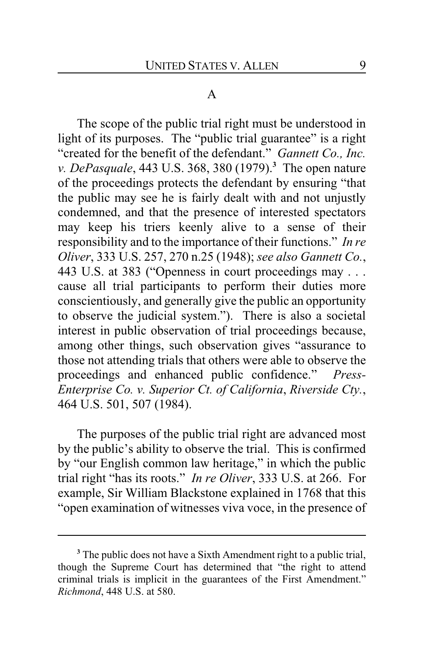#### A

The scope of the public trial right must be understood in light of its purposes. The "public trial guarantee" is a right "created for the benefit of the defendant." *Gannett Co., Inc. v. DePasquale*, 443 U.S. 368, 380 (1979).**<sup>3</sup>** The open nature of the proceedings protects the defendant by ensuring "that the public may see he is fairly dealt with and not unjustly condemned, and that the presence of interested spectators may keep his triers keenly alive to a sense of their responsibility and to the importance of their functions." *In re Oliver*, 333 U.S. 257, 270 n.25 (1948); *see also Gannett Co.*, 443 U.S. at 383 ("Openness in court proceedings may . . . cause all trial participants to perform their duties more conscientiously, and generally give the public an opportunity to observe the judicial system."). There is also a societal interest in public observation of trial proceedings because, among other things, such observation gives "assurance to those not attending trials that others were able to observe the proceedings and enhanced public confidence." *Press-Enterprise Co. v. Superior Ct. of California*, *Riverside Cty.*, 464 U.S. 501, 507 (1984).

The purposes of the public trial right are advanced most by the public's ability to observe the trial. This is confirmed by "our English common law heritage," in which the public trial right "has its roots." *In re Oliver*, 333 U.S. at 266. For example, Sir William Blackstone explained in 1768 that this "open examination of witnesses viva voce, in the presence of

**<sup>3</sup>** The public does not have a Sixth Amendment right to a public trial, though the Supreme Court has determined that "the right to attend criminal trials is implicit in the guarantees of the First Amendment." *Richmond*, 448 U.S. at 580.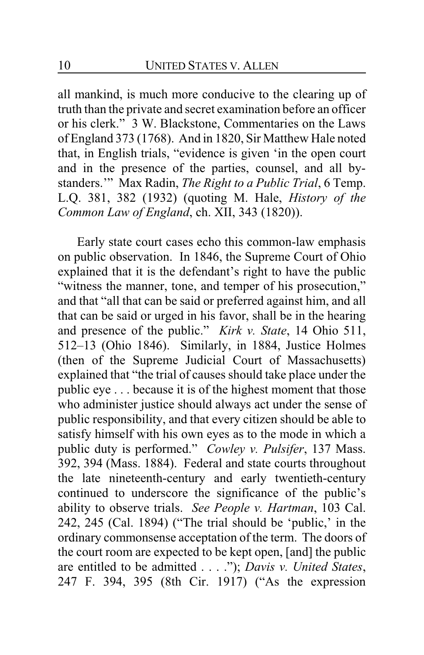all mankind, is much more conducive to the clearing up of truth than the private and secret examination before an officer or his clerk." 3 W. Blackstone, Commentaries on the Laws of England 373 (1768). And in 1820, Sir Matthew Hale noted that, in English trials, "evidence is given 'in the open court and in the presence of the parties, counsel, and all bystanders.'" Max Radin, *The Right to a Public Trial*, 6 Temp. L.Q. 381, 382 (1932) (quoting M. Hale, *History of the Common Law of England*, ch. XII, 343 (1820)).

Early state court cases echo this common-law emphasis on public observation. In 1846, the Supreme Court of Ohio explained that it is the defendant's right to have the public "witness the manner, tone, and temper of his prosecution," and that "all that can be said or preferred against him, and all that can be said or urged in his favor, shall be in the hearing and presence of the public." *Kirk v. State*, 14 Ohio 511, 512–13 (Ohio 1846). Similarly, in 1884, Justice Holmes (then of the Supreme Judicial Court of Massachusetts) explained that "the trial of causes should take place under the public eye . . . because it is of the highest moment that those who administer justice should always act under the sense of public responsibility, and that every citizen should be able to satisfy himself with his own eyes as to the mode in which a public duty is performed." *Cowley v. Pulsifer*, 137 Mass. 392, 394 (Mass. 1884). Federal and state courts throughout the late nineteenth-century and early twentieth-century continued to underscore the significance of the public's ability to observe trials. *See People v. Hartman*, 103 Cal. 242, 245 (Cal. 1894) ("The trial should be 'public,' in the ordinary commonsense acceptation of the term. The doors of the court room are expected to be kept open, [and] the public are entitled to be admitted . . . ."); *Davis v. United States*, 247 F. 394, 395 (8th Cir. 1917) ("As the expression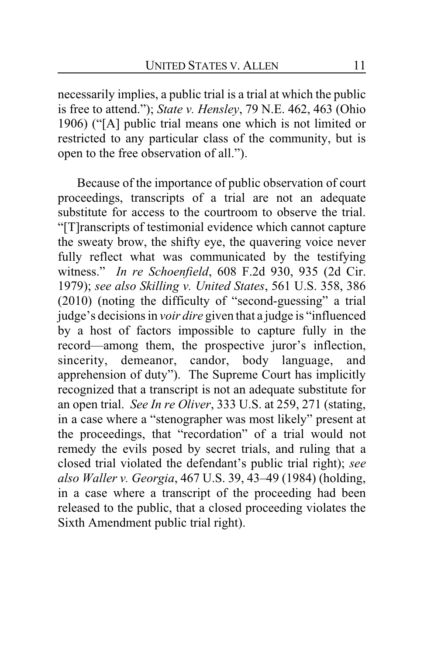necessarily implies, a public trial is a trial at which the public is free to attend."); *State v. Hensley*, 79 N.E. 462, 463 (Ohio 1906) ("[A] public trial means one which is not limited or restricted to any particular class of the community, but is open to the free observation of all.").

Because of the importance of public observation of court proceedings, transcripts of a trial are not an adequate substitute for access to the courtroom to observe the trial. "[T]ranscripts of testimonial evidence which cannot capture the sweaty brow, the shifty eye, the quavering voice never fully reflect what was communicated by the testifying witness." *In re Schoenfield*, 608 F.2d 930, 935 (2d Cir. 1979); *see also Skilling v. United States*, 561 U.S. 358, 386 (2010) (noting the difficulty of "second-guessing" a trial judge's decisions in *voir dire* given that a judge is "influenced by a host of factors impossible to capture fully in the record—among them, the prospective juror's inflection, sincerity, demeanor, candor, body language, and apprehension of duty"). The Supreme Court has implicitly recognized that a transcript is not an adequate substitute for an open trial. *See In re Oliver*, 333 U.S. at 259, 271 (stating, in a case where a "stenographer was most likely" present at the proceedings, that "recordation" of a trial would not remedy the evils posed by secret trials, and ruling that a closed trial violated the defendant's public trial right); *see also Waller v. Georgia*, 467 U.S. 39, 43–49 (1984) (holding, in a case where a transcript of the proceeding had been released to the public, that a closed proceeding violates the Sixth Amendment public trial right).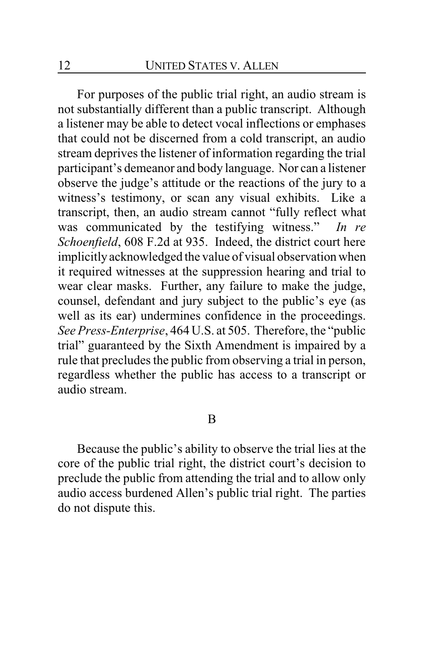For purposes of the public trial right, an audio stream is not substantially different than a public transcript. Although a listener may be able to detect vocal inflections or emphases that could not be discerned from a cold transcript, an audio stream deprives the listener of information regarding the trial participant's demeanor and body language. Nor can a listener observe the judge's attitude or the reactions of the jury to a witness's testimony, or scan any visual exhibits. Like a transcript, then, an audio stream cannot "fully reflect what was communicated by the testifying witness." *In re Schoenfield*, 608 F.2d at 935. Indeed, the district court here implicitly acknowledged the value of visual observation when it required witnesses at the suppression hearing and trial to wear clear masks. Further, any failure to make the judge, counsel, defendant and jury subject to the public's eye (as well as its ear) undermines confidence in the proceedings. *See Press-Enterprise*, 464 U.S. at 505. Therefore, the "public trial" guaranteed by the Sixth Amendment is impaired by a rule that precludes the public from observing a trial in person, regardless whether the public has access to a transcript or audio stream.

#### B

Because the public's ability to observe the trial lies at the core of the public trial right, the district court's decision to preclude the public from attending the trial and to allow only audio access burdened Allen's public trial right. The parties do not dispute this.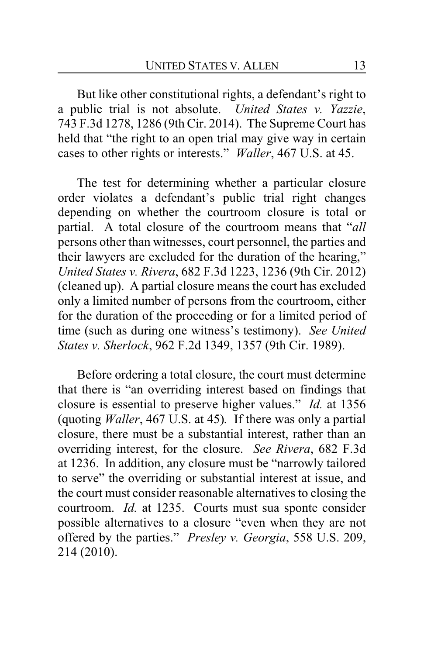But like other constitutional rights, a defendant's right to a public trial is not absolute. *United States v. Yazzie*, 743 F.3d 1278, 1286 (9th Cir. 2014). The Supreme Court has held that "the right to an open trial may give way in certain cases to other rights or interests." *Waller*, 467 U.S. at 45.

The test for determining whether a particular closure order violates a defendant's public trial right changes depending on whether the courtroom closure is total or partial. A total closure of the courtroom means that "*all* persons other than witnesses, court personnel, the parties and their lawyers are excluded for the duration of the hearing," *United States v. Rivera*, 682 F.3d 1223, 1236 (9th Cir. 2012) (cleaned up). A partial closure means the court has excluded only a limited number of persons from the courtroom, either for the duration of the proceeding or for a limited period of time (such as during one witness's testimony). *See United States v. Sherlock*, 962 F.2d 1349, 1357 (9th Cir. 1989).

Before ordering a total closure, the court must determine that there is "an overriding interest based on findings that closure is essential to preserve higher values." *Id.* at 1356 (quoting *Waller*, 467 U.S. at 45)*.* If there was only a partial closure, there must be a substantial interest, rather than an overriding interest, for the closure. *See Rivera*, 682 F.3d at 1236. In addition, any closure must be "narrowly tailored to serve" the overriding or substantial interest at issue, and the court must consider reasonable alternatives to closing the courtroom. *Id.* at 1235. Courts must sua sponte consider possible alternatives to a closure "even when they are not offered by the parties." *Presley v. Georgia*, 558 U.S. 209, 214 (2010).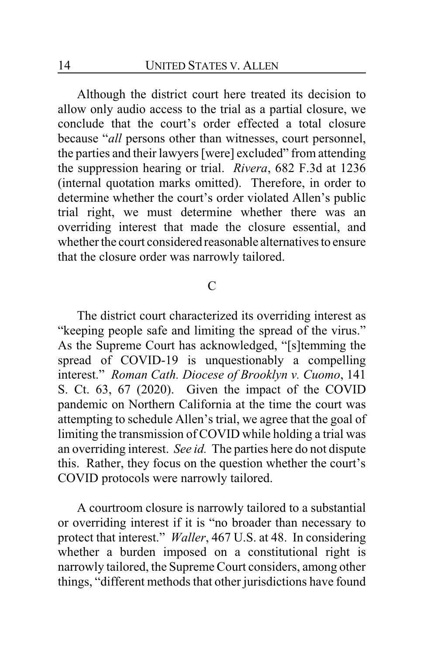Although the district court here treated its decision to allow only audio access to the trial as a partial closure, we conclude that the court's order effected a total closure because "*all* persons other than witnesses, court personnel, the parties and their lawyers [were] excluded" from attending the suppression hearing or trial. *Rivera*, 682 F.3d at 1236 (internal quotation marks omitted). Therefore, in order to determine whether the court's order violated Allen's public trial right, we must determine whether there was an overriding interest that made the closure essential, and whether the court considered reasonable alternatives to ensure that the closure order was narrowly tailored.

## $\mathcal{C}$

The district court characterized its overriding interest as "keeping people safe and limiting the spread of the virus." As the Supreme Court has acknowledged, "[s]temming the spread of COVID-19 is unquestionably a compelling interest." *Roman Cath. Diocese of Brooklyn v. Cuomo*, 141 S. Ct. 63, 67 (2020). Given the impact of the COVID pandemic on Northern California at the time the court was attempting to schedule Allen's trial, we agree that the goal of limiting the transmission of COVID while holding a trial was an overriding interest. *See id.* The parties here do not dispute this. Rather, they focus on the question whether the court's COVID protocols were narrowly tailored.

A courtroom closure is narrowly tailored to a substantial or overriding interest if it is "no broader than necessary to protect that interest." *Waller*, 467 U.S. at 48. In considering whether a burden imposed on a constitutional right is narrowly tailored, the Supreme Court considers, among other things, "different methods that other jurisdictions have found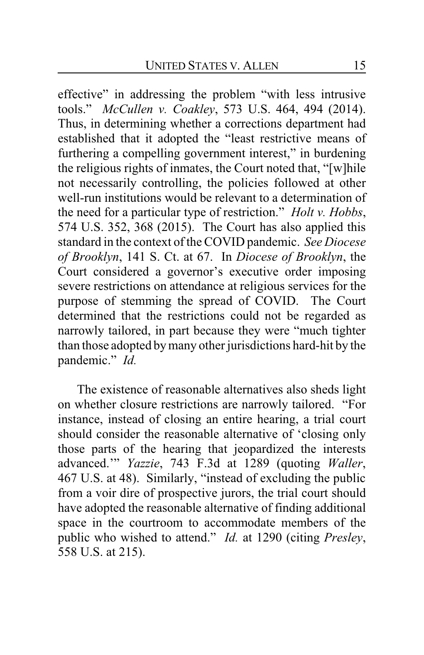effective" in addressing the problem "with less intrusive tools." *McCullen v. Coakley*, 573 U.S. 464, 494 (2014). Thus, in determining whether a corrections department had established that it adopted the "least restrictive means of furthering a compelling government interest," in burdening the religious rights of inmates, the Court noted that, "[w]hile not necessarily controlling, the policies followed at other well-run institutions would be relevant to a determination of the need for a particular type of restriction." *Holt v. Hobbs*, 574 U.S. 352, 368 (2015). The Court has also applied this standard in the context of the COVID pandemic. *See Diocese of Brooklyn*, 141 S. Ct. at 67. In *Diocese of Brooklyn*, the Court considered a governor's executive order imposing severe restrictions on attendance at religious services for the purpose of stemming the spread of COVID. The Court determined that the restrictions could not be regarded as narrowly tailored, in part because they were "much tighter than those adopted by many other jurisdictions hard-hit by the pandemic." *Id.*

The existence of reasonable alternatives also sheds light on whether closure restrictions are narrowly tailored. "For instance, instead of closing an entire hearing, a trial court should consider the reasonable alternative of 'closing only those parts of the hearing that jeopardized the interests advanced.'" *Yazzie*, 743 F.3d at 1289 (quoting *Waller*, 467 U.S. at 48). Similarly, "instead of excluding the public from a voir dire of prospective jurors, the trial court should have adopted the reasonable alternative of finding additional space in the courtroom to accommodate members of the public who wished to attend." *Id.* at 1290 (citing *Presley*, 558 U.S. at 215).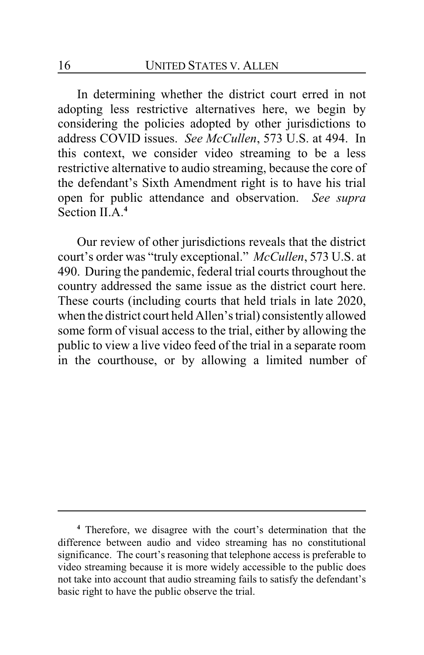In determining whether the district court erred in not adopting less restrictive alternatives here, we begin by considering the policies adopted by other jurisdictions to address COVID issues. *See McCullen*, 573 U.S. at 494. In this context, we consider video streaming to be a less restrictive alternative to audio streaming, because the core of the defendant's Sixth Amendment right is to have his trial open for public attendance and observation. *See supra* Section II.A.<sup>4</sup>

Our review of other jurisdictions reveals that the district court's order was "truly exceptional." *McCullen*, 573 U.S. at 490. During the pandemic, federal trial courts throughout the country addressed the same issue as the district court here. These courts (including courts that held trials in late 2020, when the district court held Allen's trial) consistently allowed some form of visual access to the trial, either by allowing the public to view a live video feed of the trial in a separate room in the courthouse, or by allowing a limited number of

**<sup>4</sup>** Therefore, we disagree with the court's determination that the difference between audio and video streaming has no constitutional significance. The court's reasoning that telephone access is preferable to video streaming because it is more widely accessible to the public does not take into account that audio streaming fails to satisfy the defendant's basic right to have the public observe the trial.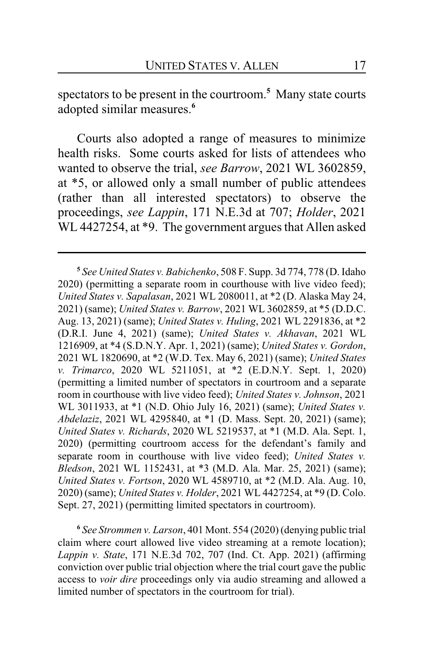spectators to be present in the courtroom. **<sup>5</sup>** Many state courts adopted similar measures.**<sup>6</sup>**

Courts also adopted a range of measures to minimize health risks. Some courts asked for lists of attendees who wanted to observe the trial, *see Barrow*, 2021 WL 3602859, at \*5, or allowed only a small number of public attendees (rather than all interested spectators) to observe the proceedings, *see Lappin*, 171 N.E.3d at 707; *Holder*, 2021 WL 4427254, at \*9. The government argues that Allen asked

**6** *See Strommen v. Larson*, 401 Mont. 554 (2020) (denying public trial claim where court allowed live video streaming at a remote location); *Lappin v. State*, 171 N.E.3d 702, 707 (Ind. Ct. App. 2021) (affirming conviction over public trial objection where the trial court gave the public access to *voir dire* proceedings only via audio streaming and allowed a limited number of spectators in the courtroom for trial).

**<sup>5</sup>** *See United States v. Babichenko*, 508 F. Supp. 3d 774, 778 (D. Idaho 2020) (permitting a separate room in courthouse with live video feed); *United States v. Sapalasan*, 2021 WL 2080011, at \*2 (D. Alaska May 24, 2021) (same); *United States v. Barrow*, 2021 WL 3602859, at \*5 (D.D.C. Aug. 13, 2021) (same); *United States v. Huling*, 2021 WL 2291836, at \*2 (D.R.I. June 4, 2021) (same); *United States v. Akhavan*, 2021 WL 1216909, at \*4 (S.D.N.Y. Apr. 1, 2021) (same); *United States v. Gordon*, 2021 WL 1820690, at \*2 (W.D. Tex. May 6, 2021) (same); *United States v. Trimarco*, 2020 WL 5211051, at \*2 (E.D.N.Y. Sept. 1, 2020) (permitting a limited number of spectators in courtroom and a separate room in courthouse with live video feed); *United States v. Johnson*, 2021 WL 3011933, at \*1 (N.D. Ohio July 16, 2021) (same); *United States v. Abdelaziz*, 2021 WL 4295840, at \*1 (D. Mass. Sept. 20, 2021) (same); *United States v. Richards*, 2020 WL 5219537, at \*1 (M.D. Ala. Sept. 1, 2020) (permitting courtroom access for the defendant's family and separate room in courthouse with live video feed); *United States v. Bledson*, 2021 WL 1152431, at \*3 (M.D. Ala. Mar. 25, 2021) (same); *United States v. Fortson*, 2020 WL 4589710, at \*2 (M.D. Ala. Aug. 10, 2020) (same); *United States v. Holder*, 2021 WL 4427254, at \*9 (D. Colo. Sept. 27, 2021) (permitting limited spectators in courtroom).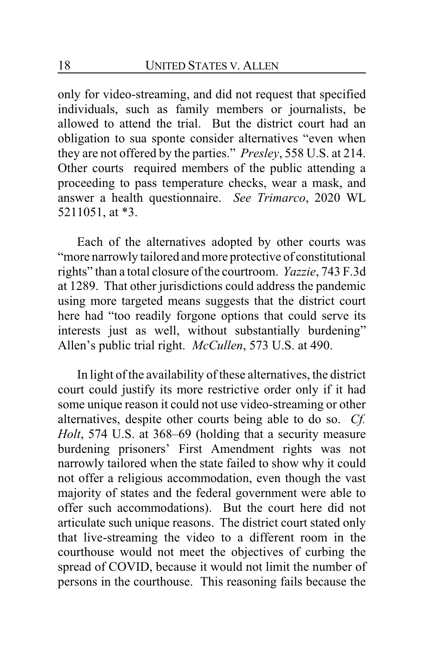only for video-streaming, and did not request that specified individuals, such as family members or journalists, be allowed to attend the trial. But the district court had an obligation to sua sponte consider alternatives "even when they are not offered by the parties." *Presley*, 558 U.S. at 214. Other courts required members of the public attending a proceeding to pass temperature checks, wear a mask, and answer a health questionnaire. *See Trimarco*, 2020 WL 5211051, at \*3.

Each of the alternatives adopted by other courts was "more narrowly tailored and more protective of constitutional rights" than a total closure of the courtroom. *Yazzie*, 743 F.3d at 1289. That other jurisdictions could address the pandemic using more targeted means suggests that the district court here had "too readily forgone options that could serve its interests just as well, without substantially burdening" Allen's public trial right. *McCullen*, 573 U.S. at 490.

In light of the availability of these alternatives, the district court could justify its more restrictive order only if it had some unique reason it could not use video-streaming or other alternatives, despite other courts being able to do so. *Cf. Holt*, 574 U.S. at 368–69 (holding that a security measure burdening prisoners' First Amendment rights was not narrowly tailored when the state failed to show why it could not offer a religious accommodation, even though the vast majority of states and the federal government were able to offer such accommodations). But the court here did not articulate such unique reasons. The district court stated only that live-streaming the video to a different room in the courthouse would not meet the objectives of curbing the spread of COVID, because it would not limit the number of persons in the courthouse. This reasoning fails because the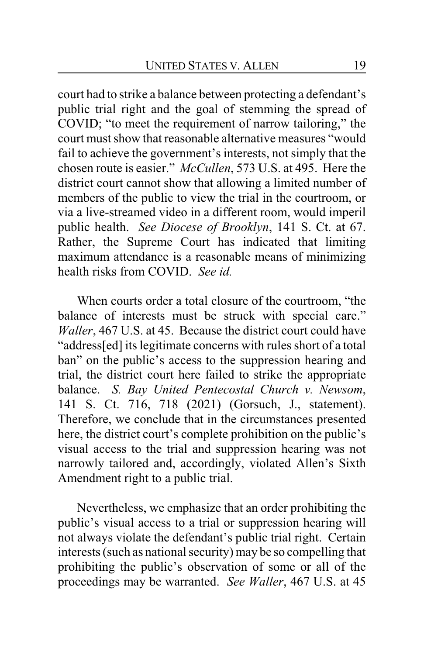court had to strike a balance between protecting a defendant's public trial right and the goal of stemming the spread of COVID; "to meet the requirement of narrow tailoring," the court must show that reasonable alternative measures "would fail to achieve the government's interests, not simply that the chosen route is easier." *McCullen*, 573 U.S. at 495. Here the district court cannot show that allowing a limited number of members of the public to view the trial in the courtroom, or via a live-streamed video in a different room, would imperil public health. *See Diocese of Brooklyn*, 141 S. Ct. at 67. Rather, the Supreme Court has indicated that limiting maximum attendance is a reasonable means of minimizing health risks from COVID. *See id.*

When courts order a total closure of the courtroom, "the balance of interests must be struck with special care." *Waller*, 467 U.S. at 45. Because the district court could have "address[ed] its legitimate concerns with rules short of a total ban" on the public's access to the suppression hearing and trial, the district court here failed to strike the appropriate balance. *S. Bay United Pentecostal Church v. Newsom*, 141 S. Ct. 716, 718 (2021) (Gorsuch, J., statement). Therefore, we conclude that in the circumstances presented here, the district court's complete prohibition on the public's visual access to the trial and suppression hearing was not narrowly tailored and, accordingly, violated Allen's Sixth Amendment right to a public trial.

Nevertheless, we emphasize that an order prohibiting the public's visual access to a trial or suppression hearing will not always violate the defendant's public trial right. Certain interests (such as national security) may be so compelling that prohibiting the public's observation of some or all of the proceedings may be warranted. *See Waller*, 467 U.S. at 45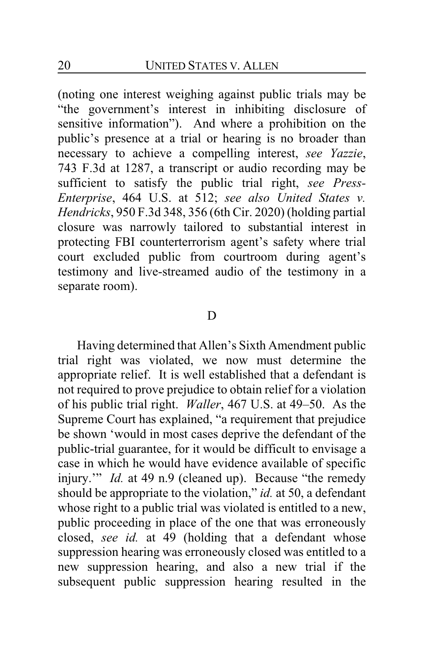(noting one interest weighing against public trials may be "the government's interest in inhibiting disclosure of sensitive information"). And where a prohibition on the public's presence at a trial or hearing is no broader than necessary to achieve a compelling interest, *see Yazzie*, 743 F.3d at 1287, a transcript or audio recording may be sufficient to satisfy the public trial right, *see Press-Enterprise*, 464 U.S. at 512; *see also United States v. Hendricks*, 950 F.3d 348, 356 (6th Cir. 2020) (holding partial closure was narrowly tailored to substantial interest in protecting FBI counterterrorism agent's safety where trial court excluded public from courtroom during agent's testimony and live-streamed audio of the testimony in a separate room).

#### D

Having determined that Allen's Sixth Amendment public trial right was violated, we now must determine the appropriate relief. It is well established that a defendant is not required to prove prejudice to obtain relief for a violation of his public trial right. *Waller*, 467 U.S. at 49–50. As the Supreme Court has explained, "a requirement that prejudice be shown 'would in most cases deprive the defendant of the public-trial guarantee, for it would be difficult to envisage a case in which he would have evidence available of specific injury." *Id.* at 49 n.9 (cleaned up). Because "the remedy should be appropriate to the violation," *id.* at 50, a defendant whose right to a public trial was violated is entitled to a new, public proceeding in place of the one that was erroneously closed, *see id.* at 49 (holding that a defendant whose suppression hearing was erroneously closed was entitled to a new suppression hearing, and also a new trial if the subsequent public suppression hearing resulted in the